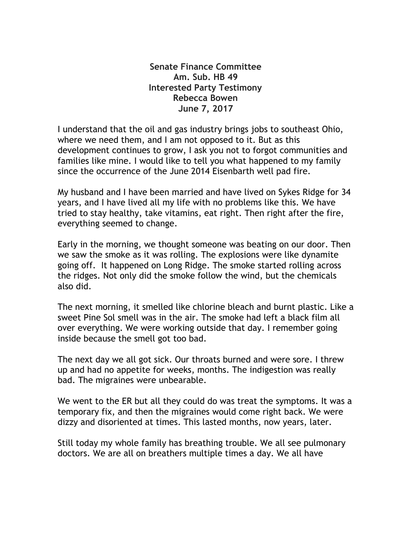**Senate Finance Committee Am. Sub. HB 49 Interested Party Testimony Rebecca Bowen June 7, 2017**

I understand that the oil and gas industry brings jobs to southeast Ohio, where we need them, and I am not opposed to it. But as this development continues to grow, I ask you not to forgot communities and families like mine. I would like to tell you what happened to my family since the occurrence of the June 2014 Eisenbarth well pad fire.

My husband and I have been married and have lived on Sykes Ridge for 34 years, and I have lived all my life with no problems like this. We have tried to stay healthy, take vitamins, eat right. Then right after the fire, everything seemed to change.

Early in the morning, we thought someone was beating on our door. Then we saw the smoke as it was rolling. The explosions were like dynamite going off. It happened on Long Ridge. The smoke started rolling across the ridges. Not only did the smoke follow the wind, but the chemicals also did.

The next morning, it smelled like chlorine bleach and burnt plastic. Like a sweet Pine Sol smell was in the air. The smoke had left a black film all over everything. We were working outside that day. I remember going inside because the smell got too bad.

The next day we all got sick. Our throats burned and were sore. I threw up and had no appetite for weeks, months. The indigestion was really bad. The migraines were unbearable.

We went to the ER but all they could do was treat the symptoms. It was a temporary fix, and then the migraines would come right back. We were dizzy and disoriented at times. This lasted months, now years, later.

Still today my whole family has breathing trouble. We all see pulmonary doctors. We are all on breathers multiple times a day. We all have